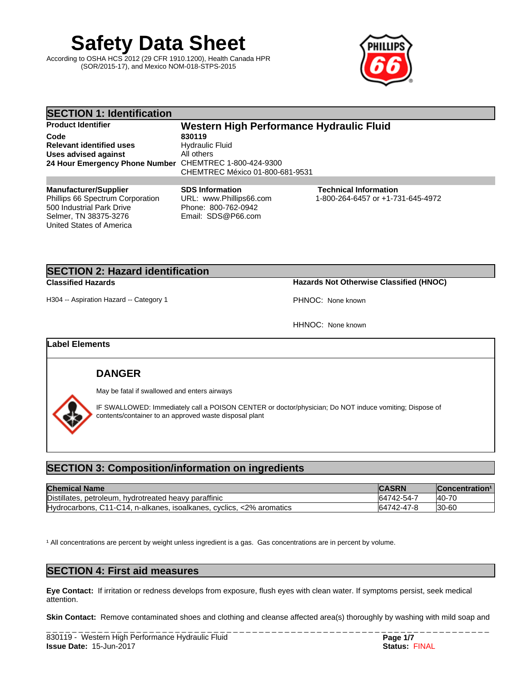# **Safety Data Sheet**

According to OSHA HCS 2012 (29 CFR 1910.1200), Health Canada HPR (SOR/2015-17), and Mexico NOM-018-STPS-2015



| <b>SECTION 1: Identification</b>                       |                                          |                                   |  |
|--------------------------------------------------------|------------------------------------------|-----------------------------------|--|
| <b>Product Identifier</b>                              | Western High Performance Hydraulic Fluid |                                   |  |
| Code                                                   | 830119                                   |                                   |  |
| <b>Relevant identified uses</b>                        | Hydraulic Fluid                          |                                   |  |
| Uses advised against                                   | All others                               |                                   |  |
| 24 Hour Emergency Phone Number CHEMTREC 1-800-424-9300 |                                          |                                   |  |
|                                                        | CHEMTREC México 01-800-681-9531          |                                   |  |
|                                                        |                                          |                                   |  |
| <b>Manufacturer/Supplier</b>                           | <b>SDS Information</b>                   | <b>Technical Information</b>      |  |
| Phillips 66 Spectrum Corporation                       | URL: www.Phillips66.com                  | 1-800-264-6457 or +1-731-645-4972 |  |
| 500 Industrial Park Drive                              | Phone: 800-762-0942                      |                                   |  |
| Selmer, TN 38375-3276                                  | Email: SDS@P66.com                       |                                   |  |

## **SECTION 2: Hazard identification**

United States of America

H304 -- Aspiration Hazard -- Category 1 **PHNOC: None known** 

**Classified Hazards Hazards Not Otherwise Classified (HNOC)**

HHNOC: None known

## **Label Elements**

## **DANGER**

May be fatal if swallowed and enters airways



IF SWALLOWED: Immediately call a POISON CENTER or doctor/physician; Do NOT induce vomiting; Dispose of contents/container to an approved waste disposal plant

## **SECTION 3: Composition/information on ingredients**

| <b>Chemical Name</b>                                                                   | <b>ASRN</b><br>$\sim$<br>$\mathbf{U}$ | <b>Concentration</b> <sup>1</sup> |
|----------------------------------------------------------------------------------------|---------------------------------------|-----------------------------------|
| Distillates.<br>hydrotreated heavy paraffinic<br>. petroleum.                          | 64742-54-7                            | 40-70                             |
| , C11-C14, n-alkanes, i<br>Hydrocarbons,<br>cvclics.<br><2% aromatics<br>. isoalkanes. | 64742-47-8                            | $ 30 - 60$                        |

<sup>1</sup> All concentrations are percent by weight unless ingredient is a gas. Gas concentrations are in percent by volume.

## **SECTION 4: First aid measures**

**Eye Contact:** Ifirritation or redness develops from exposure, flush eyes with clean water. If symptoms persist, seek medical attention.

**Skin Contact:** Remove contaminated shoes and clothing and cleanse affected area(s) thoroughly by washing with mild soap and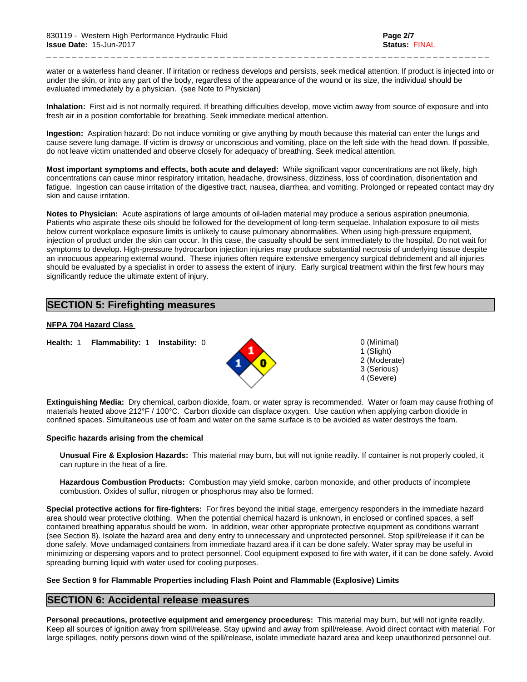water or a waterless hand cleaner. If irritation or redness develops and persists, seek medical attention. If product is injected into or under the skin, or into any part of the body, regardless of the appearance of the wound or its size, the individual should be evaluated immediately by a physician. (see Note to Physician)

\_ \_ \_ \_ \_ \_ \_ \_ \_ \_ \_ \_ \_ \_ \_ \_ \_ \_ \_ \_ \_ \_ \_ \_ \_ \_ \_ \_ \_ \_ \_ \_ \_ \_ \_ \_ \_ \_ \_ \_ \_ \_ \_ \_ \_ \_ \_ \_ \_ \_ \_ \_ \_ \_ \_ \_ \_ \_ \_ \_ \_ \_ \_ \_ \_ \_ \_ \_ \_

**Inhalation:** First aid is not normally required. If breathing difficulties develop, move victim away from source of exposure and into fresh air in a position comfortable for breathing. Seek immediate medical attention.

**Ingestion:** Aspiration hazard: Do not induce vomiting or give anything by mouth because this material can enter the lungs and cause severe lung damage. If victim is drowsy or unconscious and vomiting, place on the left side with the head down. If possible, do not leave victim unattended and observe closely for adequacy of breathing. Seek medical attention.

**Most important symptoms and effects, both acute and delayed:** While significant vapor concentrations are not likely, high concentrations can cause minor respiratory irritation, headache, drowsiness, dizziness, loss of coordination, disorientation and fatigue. Ingestion can cause irritation of the digestive tract, nausea, diarrhea, and vomiting. Prolonged or repeated contact may dry skin and cause irritation.

**Notes to Physician:**Acute aspirations of large amounts of oil-laden material may produce a serious aspiration pneumonia. Patients who aspirate these oils should be followed for the development of long-term sequelae. Inhalation exposure to oil mists below current workplace exposure limits is unlikely to cause pulmonary abnormalities. When using high-pressure equipment, injection of product under the skin can occur. In this case, the casualty should be sent immediately to the hospital. Do not wait for symptoms to develop. High-pressure hydrocarbon injection injuries may produce substantial necrosis of underlying tissue despite an innocuous appearing external wound. These injuries often require extensive emergency surgical debridement and all injuries should be evaluated by a specialist in order to assess the extent of injury. Early surgical treatment within the first few hours may significantly reduce the ultimate extent of injury.

## **SECTION 5: Firefighting measures**

## **NFPA 704 Hazard Class**

**Health:** 1 **Flammability:** 1 **Instability:** 0 0 0 0 (Minimal)

1 (Slight) 2 (Moderate) 3 (Serious) 4 (Severe)

**Extinguishing Media:** Dry chemical, carbon dioxide, foam, or water spray is recommended. Water or foam may cause frothing of materials heated above 212°F / 100°C. Carbon dioxide can displace oxygen. Use caution when applying carbon dioxide in confined spaces. Simultaneous use of foam and water on the same surface is to be avoided as water destroys the foam.

#### **Specific hazards arising from the chemical**

**Unusual Fire & Explosion Hazards:** This material may burn, butwill not ignite readily. If container is not properly cooled, it can rupture in the heat of a fire.

**Hazardous Combustion Products:** Combustion may yield smoke, carbon monoxide, and other products of incomplete combustion. Oxides of sulfur, nitrogen or phosphorus may also be formed.

**Special protective actions for fire-fighters:** For fires beyond the initial stage, emergency responders in the immediate hazard area should wear protective clothing. When the potential chemical hazard is unknown, in enclosed or confined spaces, a self contained breathing apparatus should be worn. In addition, wear other appropriate protective equipment as conditions warrant (see Section 8). Isolate the hazard area and deny entry to unnecessary and unprotected personnel. Stop spill/release if it can be done safely. Move undamaged containers from immediate hazard area if it can be done safely. Water spray may be useful in minimizing or dispersing vapors and to protect personnel. Cool equipment exposed to fire with water, if it can be done safely. Avoid spreading burning liquid with water used for cooling purposes.

#### **See Section 9 for Flammable Properties including Flash Point and Flammable (Explosive) Limits**

## **SECTION 6: Accidental release measures**

**Personal precautions, protective equipment and emergency procedures:** This material may burn, butwill not ignite readily. Keep all sources of ignition away from spill/release. Stay upwind and away from spill/release. Avoid direct contact with material. For large spillages, notify persons down wind of the spill/release, isolate immediate hazard area and keep unauthorized personnel out.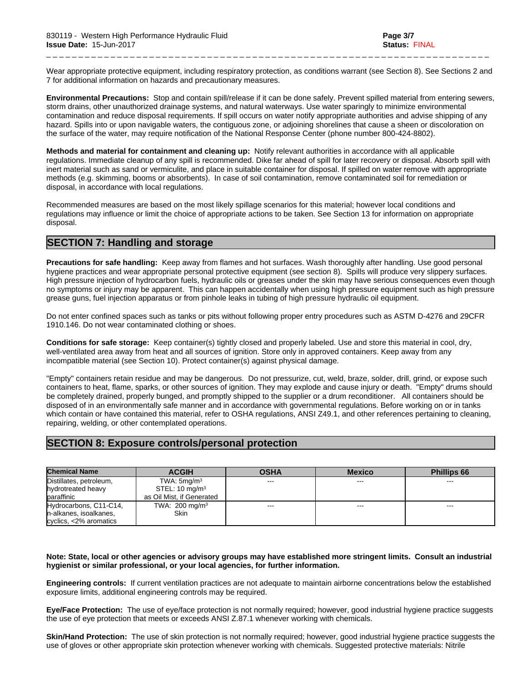Wear appropriate protective equipment, including respiratory protection, as conditions warrant (see Section 8). See Sections 2 and 7 for additional information on hazards and precautionary measures.

\_ \_ \_ \_ \_ \_ \_ \_ \_ \_ \_ \_ \_ \_ \_ \_ \_ \_ \_ \_ \_ \_ \_ \_ \_ \_ \_ \_ \_ \_ \_ \_ \_ \_ \_ \_ \_ \_ \_ \_ \_ \_ \_ \_ \_ \_ \_ \_ \_ \_ \_ \_ \_ \_ \_ \_ \_ \_ \_ \_ \_ \_ \_ \_ \_ \_ \_ \_ \_

**Environmental Precautions:** Stop and contain spill/release if it can be done safely. Prevent spilled material from entering sewers, storm drains, other unauthorized drainage systems, and natural waterways. Use water sparingly to minimize environmental contamination and reduce disposal requirements. If spill occurs on water notify appropriate authorities and advise shipping of any hazard. Spills into or upon navigable waters, the contiguous zone, or adjoining shorelines that cause a sheen or discoloration on the surface of the water, may require notification of the National Response Center (phone number 800-424-8802).

**Methods and material for containment and cleaning up:** Notify relevant authorities in accordance with all applicable regulations. Immediate cleanup of any spill is recommended. Dike far ahead of spill for later recovery or disposal. Absorb spill with inert material such as sand or vermiculite, and place in suitable container for disposal. If spilled on water remove with appropriate methods (e.g. skimming, booms or absorbents). In case of soil contamination, remove contaminated soil for remediation or disposal, in accordance with local regulations.

Recommended measures are based on the most likely spillage scenarios for this material; however local conditions and regulations may influence or limit the choice of appropriate actions to be taken. See Section 13 for information on appropriate disposal.

## **SECTION 7: Handling and storage**

**Precautions for safe handling:** Keep away from flames and hot surfaces. Wash thoroughly after handling. Use good personal hygiene practices and wear appropriate personal protective equipment (see section 8). Spills will produce very slippery surfaces. High pressure injection of hydrocarbon fuels, hydraulic oils or greases under the skin may have serious consequences even though no symptoms or injury may be apparent. This can happen accidentally when using high pressure equipment such as high pressure grease guns, fuel injection apparatus or from pinhole leaks in tubing of high pressure hydraulic oil equipment.

Do not enter confined spaces such as tanks or pits without following proper entry procedures such as ASTM D-4276 and 29CFR 1910.146. Do not wear contaminated clothing or shoes.

**Conditions for safe storage:**Keep container(s) tightly closed and properly labeled. Use and store this material in cool, dry, well-ventilated area away from heat and all sources of ignition. Store only in approved containers. Keep away from any incompatible material (see Section 10). Protect container(s) against physical damage.

"Empty" containers retain residue and may be dangerous. Do not pressurize, cut, weld, braze, solder, drill, grind, or expose such containers to heat, flame, sparks, or other sources of ignition. They may explode and cause injury or death."Empty" drums should be completely drained, properly bunged, and promptly shipped to the supplier or a drum reconditioner. All containers should be disposed of in an environmentally safe manner and in accordance with governmental regulations. Before working on or in tanks which contain or have contained this material, refer to OSHA regulations, ANSI Z49.1, and other references pertaining to cleaning, repairing, welding, or other contemplated operations.

## **SECTION 8: Exposure controls/personal protection**

| <b>Chemical Name</b>    | <b>ACGIH</b>               | <b>OSHA</b>            | <b>Mexico</b>        | <b>Phillips 66</b>     |
|-------------------------|----------------------------|------------------------|----------------------|------------------------|
| Distillates, petroleum, | TWA: $5mg/m3$              | $\qquad \qquad \cdots$ | $\sim$ $\sim$        | $--$                   |
| hydrotreated heavy      | STEL: $10 \text{ mg/m}^3$  |                        |                      |                        |
| baraffinic              | as Oil Mist, if Generated  |                        |                      |                        |
| Hydrocarbons, C11-C14,  | TWA: 200 mg/m <sup>3</sup> | $\cdots$               | $\sim$ $\sim$ $\sim$ | $\qquad \qquad \cdots$ |
| In-alkanes, isoalkanes, | <b>Skin</b>                |                        |                      |                        |
| cyclics, <2% aromatics  |                            |                        |                      |                        |

#### Note: State, local or other agencies or advisory groups may have established more stringent limits. Consult an industrial **hygienist or similar professional, or your local agencies, for further information.**

**Engineering controls:** Ifcurrent ventilation practices are not adequate to maintain airborne concentrations below the established exposure limits, additional engineering controls may be required.

Eye/Face Protection: The use of eye/face protection is not normally required; however, good industrial hygiene practice suggests the use of eye protection that meets or exceeds ANSI Z.87.1 whenever working with chemicals.

**Skin/Hand Protection:** The use of skin protection is not normally required; however, good industrial hygiene practice suggests the use of gloves or other appropriate skin protection whenever working with chemicals. Suggested protective materials: Nitrile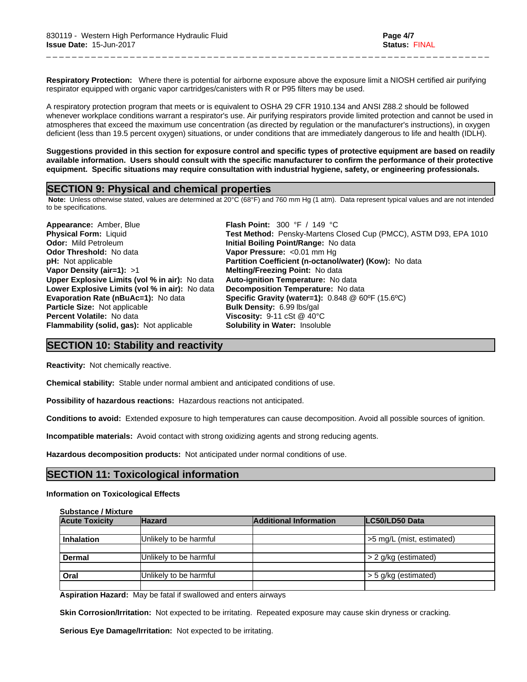**Respiratory Protection:** Where there is potential for airborne exposure above the exposure limit a NIOSH certified air purifying respirator equipped with organic vapor cartridges/canisters with R or P95 filters may be used.

\_ \_ \_ \_ \_ \_ \_ \_ \_ \_ \_ \_ \_ \_ \_ \_ \_ \_ \_ \_ \_ \_ \_ \_ \_ \_ \_ \_ \_ \_ \_ \_ \_ \_ \_ \_ \_ \_ \_ \_ \_ \_ \_ \_ \_ \_ \_ \_ \_ \_ \_ \_ \_ \_ \_ \_ \_ \_ \_ \_ \_ \_ \_ \_ \_ \_ \_ \_ \_

A respiratory protection program that meets or is equivalent to OSHA 29 CFR 1910.134 and ANSI Z88.2 should be followed whenever workplace conditions warrant a respirator's use. Air purifying respirators provide limited protection and cannot be used in atmospheres that exceed the maximum use concentration (as directed by regulation or the manufacturer's instructions), in oxygen deficient (less than 19.5 percent oxygen) situations, or under conditions that are immediately dangerous to life and health (IDLH).

Suggestions provided in this section for exposure control and specific types of protective equipment are based on readily available information. Users should consult with the specific manufacturer to confirm the performance of their protective **equipment. Specific situations may require consultation with industrial hygiene, safety, or engineering professionals.**

## **SECTION 9: Physical and chemical properties**

 **Note:** Unless otherwise stated, values are determined at 20°C (68°F) and 760 mm Hg (1 atm). Data represent typical values and are not intended to be specifications.

**Appearance:** Amber, Blue **Flash Point:** 300 °F / 149 °C **Odor:** Mild Petroleum **Initial Boiling Point/Range:** No data **Odor Threshold:** No data **Vapor Pressure:** <0.01 mm Hg **Vapor Density (air=1):** >1 **Melting/Freezing Point:** No data **Upper Explosive Limits (vol% in air):** No data **Auto-ignition Temperature:** No data **Lower Explosive Limits (vol% in air):** No data **Decomposition Temperature:** No data **Particle Size:** Not applicable **Bulk Density:** 6.99 lbs/gal **Percent Volatile:** No data **Viscosity:** 9-11 cSt @ 40°C **Flammability (solid, gas):** Not applicable **Solubility in Water:** Insoluble

**Physical Form:** Liquid **Test Method:** Pensky-Martens Closed Cup (PMCC), ASTM D93, EPA 1010 **pH:** Not applicable **Partition Coefficient (n-octanol/water) (Kow):** No data **Evaporation Rate (nBuAc=1):** No data **Specific Gravity (water=1):** 0.848 @ 60ºF (15.6ºC)

## **SECTION 10: Stability and reactivity**

**Reactivity:** Not chemically reactive.

**Chemical stability:** Stable under normal ambient and anticipated conditions of use.

**Possibility of hazardous reactions:** Hazardous reactions not anticipated.

**Conditions to avoid:** Extended exposure to high temperatures can cause decomposition. Avoid all possible sources of ignition.

**Incompatible materials:** Avoid contact with strong oxidizing agents and strong reducing agents.

**Hazardous decomposition products:** Not anticipated under normal conditions of use.

## **SECTION 11: Toxicological information**

#### **Information on Toxicological Effects**

| <b>Acute Toxicity</b> | <b>Hazard</b>          | Additional Information | LC50/LD50 Data            |
|-----------------------|------------------------|------------------------|---------------------------|
|                       |                        |                        |                           |
| <b>Inhalation</b>     | Unlikely to be harmful |                        | >5 mg/L (mist, estimated) |
|                       |                        |                        |                           |
| Dermal                | Unlikely to be harmful |                        | > 2 g/kg (estimated)      |
|                       |                        |                        |                           |
| Oral                  | Unlikely to be harmful |                        | > 5 g/kg (estimated)      |
|                       |                        |                        |                           |

**Aspiration Hazard:** May be fatal if swallowed and enters airways

**Skin Corrosion/Irritation:** Not expected to be irritating. Repeated exposure may cause skin dryness or cracking.

**Serious Eye Damage/Irritation:** Not expected to be irritating.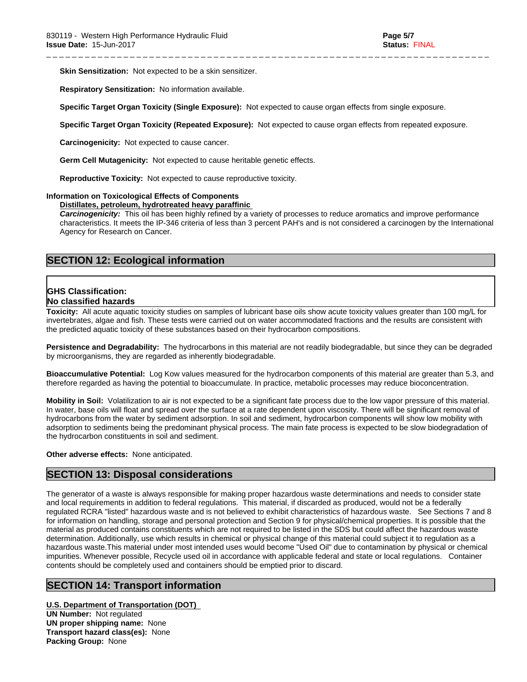**Skin Sensitization:** Not expected to be a skin sensitizer.

**Respiratory Sensitization:** No information available.

**Specific Target Organ Toxicity (Single Exposure):** Not expected to cause organ effects from single exposure.

**Specific Target Organ Toxicity (Repeated Exposure):** Not expected to cause organ effects from repeated exposure.

\_ \_ \_ \_ \_ \_ \_ \_ \_ \_ \_ \_ \_ \_ \_ \_ \_ \_ \_ \_ \_ \_ \_ \_ \_ \_ \_ \_ \_ \_ \_ \_ \_ \_ \_ \_ \_ \_ \_ \_ \_ \_ \_ \_ \_ \_ \_ \_ \_ \_ \_ \_ \_ \_ \_ \_ \_ \_ \_ \_ \_ \_ \_ \_ \_ \_ \_ \_ \_

**Carcinogenicity:** Not expected to cause cancer.

**Germ Cell Mutagenicity:** Not expected to cause heritable genetic effects.

**Reproductive Toxicity:** Not expected to cause reproductive toxicity.

### **Information on Toxicological Effects of Components**

#### **Distillates, petroleum, hydrotreated heavy paraffinic**

*Carcinogenicity:* This oil has been highly refined by a variety of processes to reduce aromatics and improve performance characteristics. It meets the IP-346 criteria of less than 3 percent PAH's and isnot considered a carcinogen by the International Agency for Research on Cancer.

## **SECTION 12: Ecological information**

## **GHS Classification: No classified hazards**

**Toxicity:** All acute aquatic toxicity studies on samples of lubricant base oils show acute toxicity values greater than 100 mg/L for invertebrates, algae and fish. These tests were carried out on water accommodated fractions and the results are consistent with the predicted aquatic toxicity of these substances based on their hydrocarbon compositions.

**Persistence and Degradability:** The hydrocarbons in this material are not readily biodegradable, but since they can be degraded by microorganisms, they are regarded as inherently biodegradable.

**Bioaccumulative Potential:** Log Kow values measured for the hydrocarbon components of this material are greater than 5.3, and therefore regarded as having the potential to bioaccumulate. In practice, metabolic processes may reduce bioconcentration.

**Mobility in Soil:** Volatilization to air is not expected to be a significant fate process due to the low vapor pressure of this material. In water, base oils will float and spread over the surface at a rate dependent upon viscosity. There will be significant removal of hydrocarbons from the water by sediment adsorption. In soil and sediment, hydrocarbon components will show low mobility with adsorption to sediments being the predominant physical process. The main fate process is expected to be slow biodegradation of the hydrocarbon constituents in soil and sediment.

**Other adverse effects:** None anticipated.

## **SECTION 13: Disposal considerations**

The generator of a waste is always responsible for making proper hazardous waste determinations and needs to consider state and local requirements in addition to federal regulations. This material, if discarded as produced, would not be a federally regulated RCRA "listed" hazardous waste and is not believed to exhibit characteristics of hazardous waste. See Sections 7 and 8 for information on handling, storage and personal protection and Section 9 for physical/chemical properties. It is possible that the material as produced contains constituents which are not required to be listed in the SDS but could affect the hazardous waste determination. Additionally, use which results in chemical or physical change of this material could subject it to regulation as a hazardous waste.This material under most intended uses would become "Used Oil" due to contamination by physical or chemical impurities. Whenever possible, Recycle used oil in accordance with applicable federal and state or local regulations. Container contents should be completely used and containers should be emptied prior to discard.

## **SECTION 14: Transport information**

**U.S. Department of Transportation (DOT)**

**UN Number:** Not regulated **UN proper shipping name:** None **Transport hazard class(es):** None **Packing Group:** None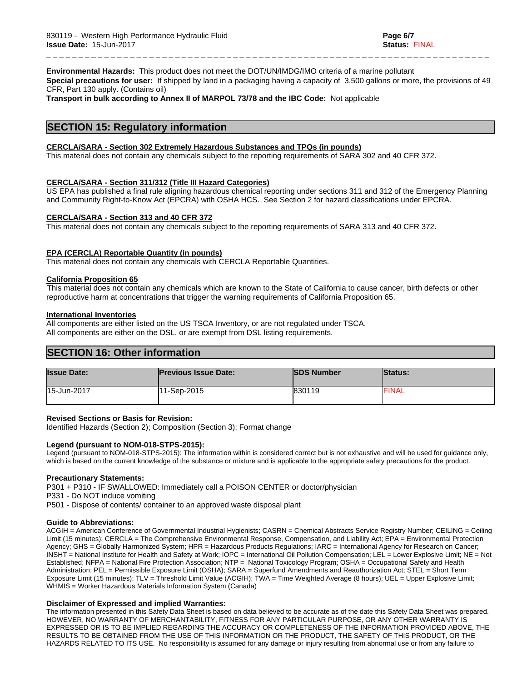**Environmental Hazards:** This product does not meet the DOT/UN/IMDG/IMO criteria of a marine pollutant

**Special precautions for user:** If shipped by land in a packaging having a capacity of 3,500 gallons or more, the provisions of 49 CFR, Part 130 apply. (Contains oil)

\_ \_ \_ \_ \_ \_ \_ \_ \_ \_ \_ \_ \_ \_ \_ \_ \_ \_ \_ \_ \_ \_ \_ \_ \_ \_ \_ \_ \_ \_ \_ \_ \_ \_ \_ \_ \_ \_ \_ \_ \_ \_ \_ \_ \_ \_ \_ \_ \_ \_ \_ \_ \_ \_ \_ \_ \_ \_ \_ \_ \_ \_ \_ \_ \_ \_ \_ \_ \_

**Transport in bulk according to Annex II of MARPOL 73/78 and the IBC Code:** Not applicable

## **SECTION 15: Regulatory information**

#### **CERCLA/SARA - Section 302 Extremely Hazardous Substances and TPQs (in pounds)**

This material does not contain any chemicals subject to the reporting requirements of SARA 302 and 40 CFR 372.

#### **CERCLA/SARA - Section 311/312 (Title III Hazard Categories)**

US EPA has published a final rule aligning hazardous chemical reporting under sections 311 and 312 of the Emergency Planning and Community Right-to-Know Act (EPCRA) with OSHA HCS. See Section 2 for hazard classifications under EPCRA.

#### **CERCLA/SARA - Section 313 and 40 CFR 372**

This material does not contain any chemicals subject to the reporting requirements of SARA 313 and 40 CFR 372.

#### **EPA (CERCLA) Reportable Quantity (in pounds)**

This material does not contain any chemicals with CERCLA Reportable Quantities.

#### **California Proposition 65**

This material does not contain any chemicals which are known to the State of California to cause cancer, birth defects or other reproductive harm at concentrations that trigger the warning requirements of California Proposition 65.

#### **International Inventories**

All components are either listed on the US TSCA Inventory, or are not regulated under TSCA. All components are either on the DSL, or are exempt from DSL listing requirements.

## **SECTION 16: Other information**

| <b>Issue Date:</b> | <b>Previous Issue Date:</b> | <b>ISDS Number</b> | <b>Status:</b> |
|--------------------|-----------------------------|--------------------|----------------|
| 15-Jun-2017        | 11-Sep-2015                 | 830119             | <b>FINAL</b>   |

#### **Revised Sections or Basis for Revision:**

Identified Hazards (Section 2); Composition (Section 3); Format change

### **Legend (pursuant to NOM-018-STPS-2015):**

Legend (pursuant to NOM-018-STPS-2015): The information within is considered correct but is not exhaustive and will be used for guidance only, which is based on the current knowledge of the substance or mixture and is applicable to the appropriate safety precautions for the product.

#### **Precautionary Statements:**

P301 + P310 - IF SWALLOWED: Immediately call a POISON CENTER or doctor/physician

P331 - Do NOT induce vomiting

P501 - Dispose of contents/ container to an approved waste disposal plant

#### **Guide to Abbreviations:**

ACGIH = American Conference of Governmental Industrial Hygienists; CASRN = Chemical Abstracts Service Registry Number; CEILING = Ceiling Limit (15 minutes); CERCLA = The Comprehensive Environmental Response, Compensation, and Liability Act; EPA = Environmental Protection Agency; GHS = Globally Harmonized System; HPR = Hazardous Products Regulations; IARC = International Agency for Research on Cancer; INSHT = National Institute for Health and Safety at Work; IOPC = International Oil Pollution Compensation; LEL = Lower Explosive Limit; NE = Not Established; NFPA = National Fire Protection Association; NTP = National Toxicology Program; OSHA = Occupational Safety and Health Administration; PEL = Permissible Exposure Limit (OSHA); SARA = Superfund Amendments and Reauthorization Act; STEL = Short Term Exposure Limit (15 minutes); TLV = Threshold Limit Value (ACGIH); TWA = Time Weighted Average (8 hours); UEL = Upper Explosive Limit; WHMIS = Worker Hazardous Materials Information System (Canada)

#### **Disclaimer of Expressed and implied Warranties:**

The information presented in this Safety Data Sheet is based on data believed to be accurate as of the date this Safety Data Sheet was prepared. HOWEVER, NO WARRANTY OF MERCHANTABILITY, FITNESS FOR ANY PARTICULAR PURPOSE, OR ANY OTHER WARRANTY IS EXPRESSED OR IS TO BE IMPLIED REGARDING THE ACCURACY OR COMPLETENESS OF THE INFORMATION PROVIDED ABOVE, THE RESULTS TO BE OBTAINED FROM THE USE OF THIS INFORMATION OR THE PRODUCT, THE SAFETY OF THIS PRODUCT, OR THE HAZARDS RELATED TO ITS USE. No responsibility is assumed for any damage or injury resulting from abnormal use or from any failure to